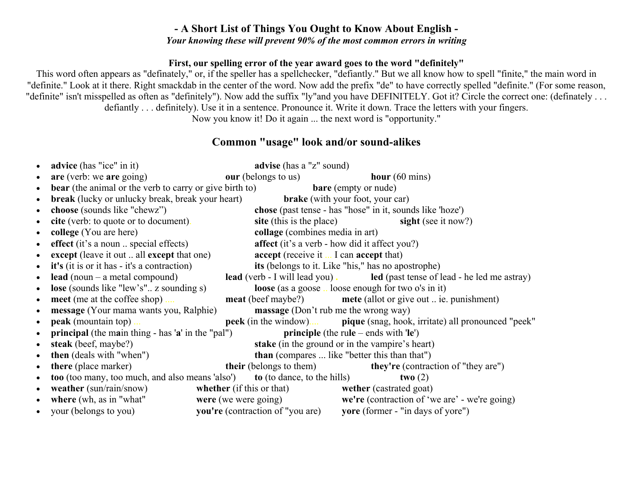## **- A Short List of Things You Ought to Know About English -**  *Your knowing these will prevent 90% of the most common errors in writing*

### **First, our spelling error of the year award goes to the word "definitely"**

This word often appears as "definately," or, if the speller has a spellchecker, "defiantly." But we all know how to spell "finite," the main word in "definite." Look at it there. Right smackdab in the center of the word. Now add the prefix "de" to have correctly spelled "definite." (For some reason, "definite" isn't misspelled as often as "definitely"). Now add the suffix "ly"and you have DEFINITELY. Got it? Circle the correct one: (definately ... defiantly . . . definitely). Use it in a sentence. Pronounce it. Write it down. Trace the letters with your fingers. Now you know it! Do it again ... the next word is "opportunity."

## **Common "usage" look and/or sound-alikes**

| $\bullet$ | advice (has "ice" in it)                                                                                    |                                                      | advise (has a "z" sound)                           |                                |                                                                                       |  |  |
|-----------|-------------------------------------------------------------------------------------------------------------|------------------------------------------------------|----------------------------------------------------|--------------------------------|---------------------------------------------------------------------------------------|--|--|
|           | are (verb: we are going)                                                                                    | <b>our</b> (belongs to us)                           |                                                    | hour $(60 \text{ mins})$       |                                                                                       |  |  |
| $\bullet$ | <b>bear</b> (the animal or the verb to carry or give birth to)                                              |                                                      | <b>bare</b> (empty or nude)                        |                                |                                                                                       |  |  |
| $\bullet$ | <b>break</b> (lucky or unlucky break, break your heart)                                                     |                                                      | <b>brake</b> (with your foot, your car)            |                                |                                                                                       |  |  |
|           | choose (sounds like "chewz")                                                                                |                                                      |                                                    |                                | chose (past tense - has "hose" in it, sounds like 'hoze')                             |  |  |
|           | cite (verb: to quote or to document).                                                                       |                                                      | site (this is the place)                           |                                | sight (see it now?)                                                                   |  |  |
|           | college (You are here)                                                                                      |                                                      | collage (combines media in art)                    |                                |                                                                                       |  |  |
| $\bullet$ | effect (it's a noun  special effects)                                                                       | <b>affect</b> (it's a verb - how did it affect you?) |                                                    |                                |                                                                                       |  |  |
|           | except (leave it out  all except that one)                                                                  | <b>accept</b> (receive it  I can <b>accept</b> that) |                                                    |                                |                                                                                       |  |  |
| $\bullet$ | it's (it is or it has - it's a contraction)                                                                 |                                                      | its (belongs to it. Like "his," has no apostrophe) |                                |                                                                                       |  |  |
| $\bullet$ | lead (noun $-$ a metal compound)                                                                            |                                                      |                                                    |                                | <b>lead</b> (verb - I will lead you). led (past tense of lead - he led me astray)     |  |  |
| $\bullet$ | <b>lose</b> (sounds like "lew's" z sounding s)<br><b>loose</b> (as a goose  loose enough for two o's in it) |                                                      |                                                    |                                |                                                                                       |  |  |
| $\bullet$ | meet (me at the coffee shop)                                                                                |                                                      |                                                    |                                | <b>meat</b> (beef maybe?) <b>mete</b> (allot or give out  ie. punishment)             |  |  |
| $\bullet$ | massage (Don't rub me the wrong way)<br><b>message</b> (Your mama wants you, Ralphie)                       |                                                      |                                                    |                                |                                                                                       |  |  |
| $\bullet$ | peak (mountain top).                                                                                        |                                                      |                                                    |                                | <b>peek</b> (in the window) <b>pique</b> (snag, hook, irritate) all pronounced "peek" |  |  |
| $\bullet$ | <b>principal</b> (the main thing - has 'a' in the "pal")<br><b>principle</b> (the rule – ends with $'$ le') |                                                      |                                                    |                                |                                                                                       |  |  |
| $\bullet$ | stake (in the ground or in the vampire's heart)<br>steak (beef, maybe?)                                     |                                                      |                                                    |                                |                                                                                       |  |  |
|           | <b>then</b> (deals with "when")                                                                             |                                                      |                                                    |                                | <b>than</b> (compares  like "better this than that")                                  |  |  |
|           | there (place marker)                                                                                        |                                                      | <b>their</b> (belongs to them)                     |                                | <b>they're</b> (contraction of "they are")                                            |  |  |
|           | <b>too</b> (too many, too much, and also means 'also') <b>to</b> (to dance, to the hills)<br>two $(2)$      |                                                      |                                                    |                                |                                                                                       |  |  |
| $\bullet$ | weather (sun/rain/snow)                                                                                     | whether (if this or that)                            |                                                    | <b>wether</b> (castrated goat) |                                                                                       |  |  |
| $\bullet$ | where (wh, as in "what"                                                                                     | were (we were going)                                 |                                                    |                                | we're (contraction of 'we are' - we're going)                                         |  |  |
| $\bullet$ | your (belongs to you)                                                                                       |                                                      | <b>you're</b> (contraction of "you are)            |                                | <b>yore</b> (former - "in days of yore")                                              |  |  |